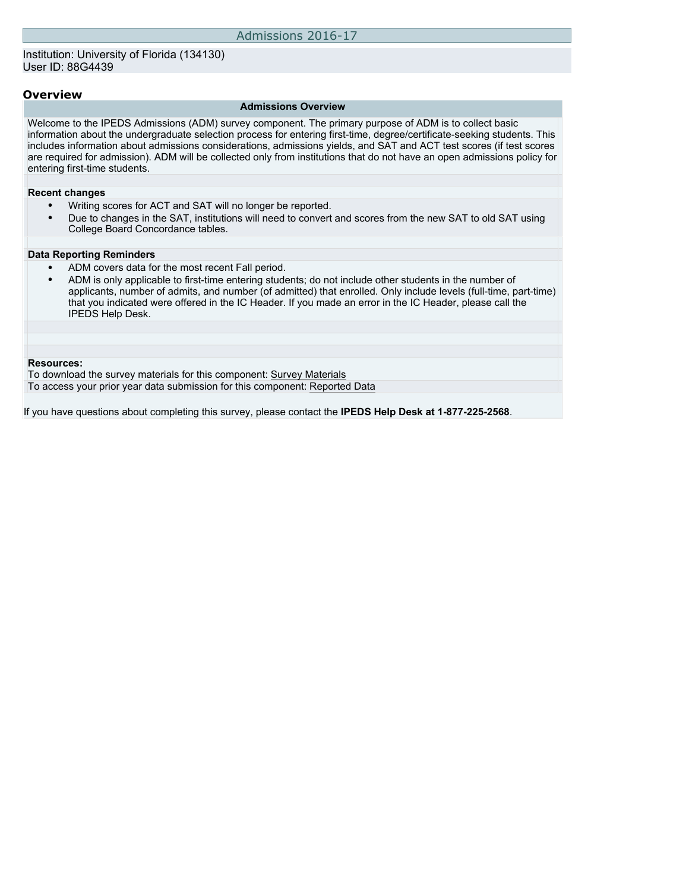### **Overview**

### **Admissions Overview**

Welcome to the IPEDS Admissions (ADM) survey component. The primary purpose of ADM is to collect basic information about the undergraduate selection process for entering first-time, degree/certificate-seeking students. This includes information about admissions considerations, admissions yields, and SAT and ACT test scores (if test scores are required for admission). ADM will be collected only from institutions that do not have an open admissions policy for entering first-time students.

### **Recent changes**

- Writing scores for ACT and SAT will no longer be reported.
- Due to changes in the SAT, institutions will need to convert and scores from the new SAT to old SAT using College Board Concordance tables.

#### **Data Reporting Reminders**

- ADM covers data for the most recent Fall period.
- ADM is only applicable to first-time entering students; do not include other students in the number of applicants, number of admits, and number (of admitted) that enrolled. Only include levels (full-time, part-time) that you indicated were offered in the IC Header. If you made an error in the IC Header, please call the IPEDS Help Desk.

#### **Resources:**

To download the survey materials for this component: [Survey Materials](https://surveys.nces.ed.gov/ipeds/VisIndex.aspx)

To access your prior year data submission for this component: [Reported Data](http://192.168.102.153/IPEDS/PriorYearDataRedirect.aspx?survey_id=14)

If you have questions about completing this survey, please contact the **IPEDS Help Desk at 1-877-225-2568**.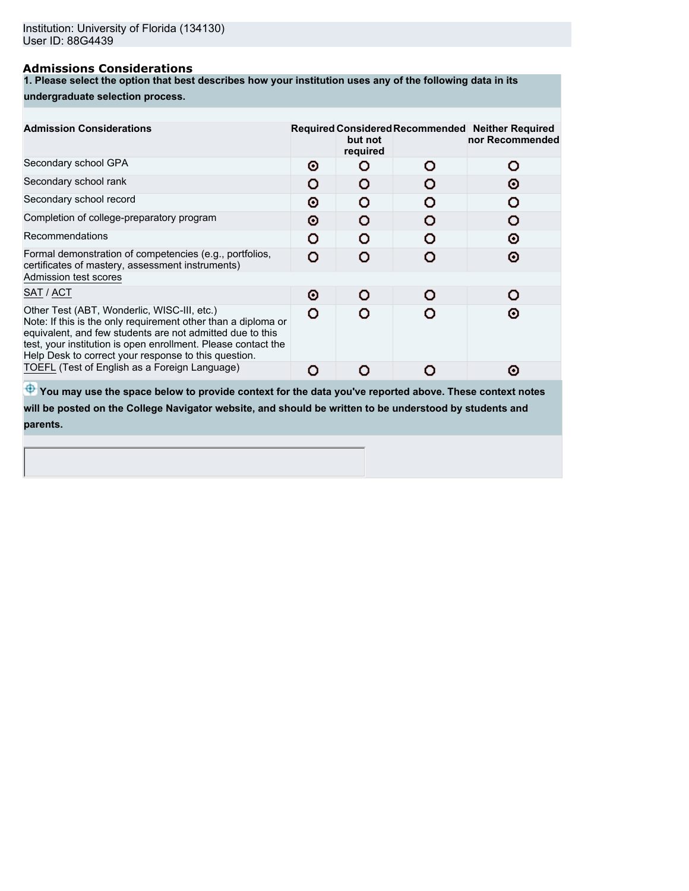### **Admissions Considerations**

**1. Please select the option that best describes how your institution uses any of the following data in its**

## **undergraduate selection process.**

| <b>Admission Considerations</b>                                                                                                                                                                                                                                                                    |   | but not<br>required |   | Required Considered Recommended Neither Required<br>nor Recommended |
|----------------------------------------------------------------------------------------------------------------------------------------------------------------------------------------------------------------------------------------------------------------------------------------------------|---|---------------------|---|---------------------------------------------------------------------|
| Secondary school GPA                                                                                                                                                                                                                                                                               | Θ |                     | n | Ω                                                                   |
| Secondary school rank                                                                                                                                                                                                                                                                              | O |                     |   | Θ                                                                   |
| Secondary school record                                                                                                                                                                                                                                                                            | Θ | n                   |   |                                                                     |
| Completion of college-preparatory program                                                                                                                                                                                                                                                          | Θ |                     |   |                                                                     |
| Recommendations                                                                                                                                                                                                                                                                                    | O | o                   |   | Θ                                                                   |
| Formal demonstration of competencies (e.g., portfolios,<br>certificates of mastery, assessment instruments)                                                                                                                                                                                        | Ω |                     |   | Θ                                                                   |
| Admission test scores                                                                                                                                                                                                                                                                              |   |                     |   |                                                                     |
| SAT / ACT                                                                                                                                                                                                                                                                                          | Θ | o                   |   |                                                                     |
| Other Test (ABT, Wonderlic, WISC-III, etc.)<br>Note: If this is the only requirement other than a diploma or<br>equivalent, and few students are not admitted due to this<br>test, your institution is open enrollment. Please contact the<br>Help Desk to correct your response to this question. | O |                     |   | ര                                                                   |
| TOEFL (Test of English as a Foreign Language)                                                                                                                                                                                                                                                      | O |                     |   | ര                                                                   |
| w                                                                                                                                                                                                                                                                                                  |   |                     |   |                                                                     |

 $\bigoplus$  **You may use the space below to provide context for the data you've reported above. These context notes will be posted on the College Navigator website, and should be written to be understood by students and parents.**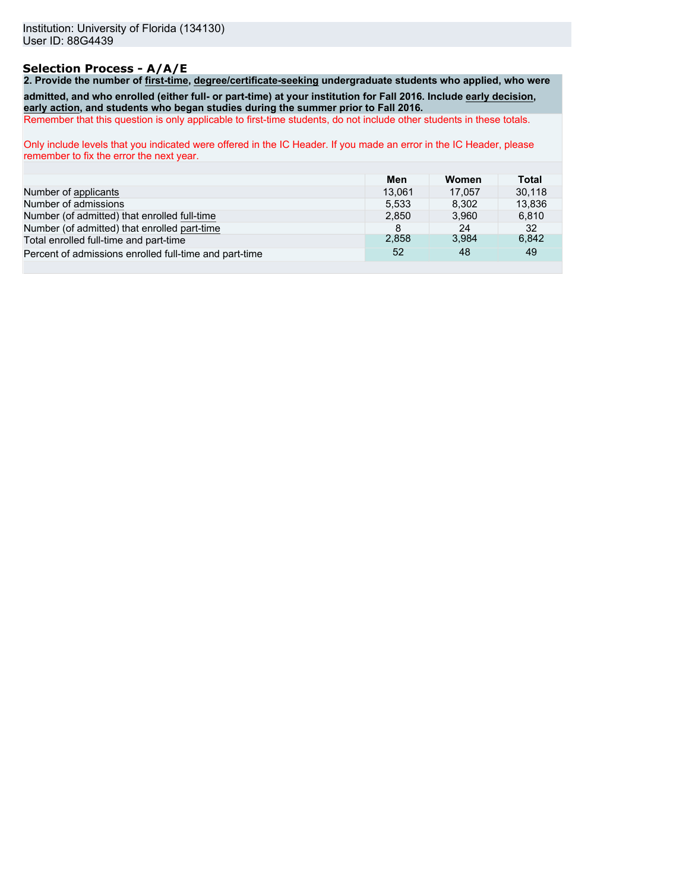## **Selection Process - A/A/E**

**2. Provide the number of first-time, degree/certificate-seeking undergraduate students who applied, who were admitted, and who enrolled (either full- or part-time) at your institution for Fall 2016. Include early decision, early action, and students who began studies during the summer prior to Fall 2016.**

Remember that this question is only applicable to first-time students, do not include other students in these totals.

Only include levels that you indicated were offered in the IC Header. If you made an error in the IC Header, please remember to fix the error the next year.

|                                                        | Men    | Women  | Total  |
|--------------------------------------------------------|--------|--------|--------|
| Number of applicants                                   | 13.061 | 17.057 | 30.118 |
| Number of admissions                                   | 5.533  | 8.302  | 13,836 |
| Number (of admitted) that enrolled full-time           | 2.850  | 3.960  | 6.810  |
| Number (of admitted) that enrolled part-time           | 8      | 24     | 32     |
| Total enrolled full-time and part-time                 | 2.858  | 3.984  | 6,842  |
| Percent of admissions enrolled full-time and part-time | 52     | 48     | 49     |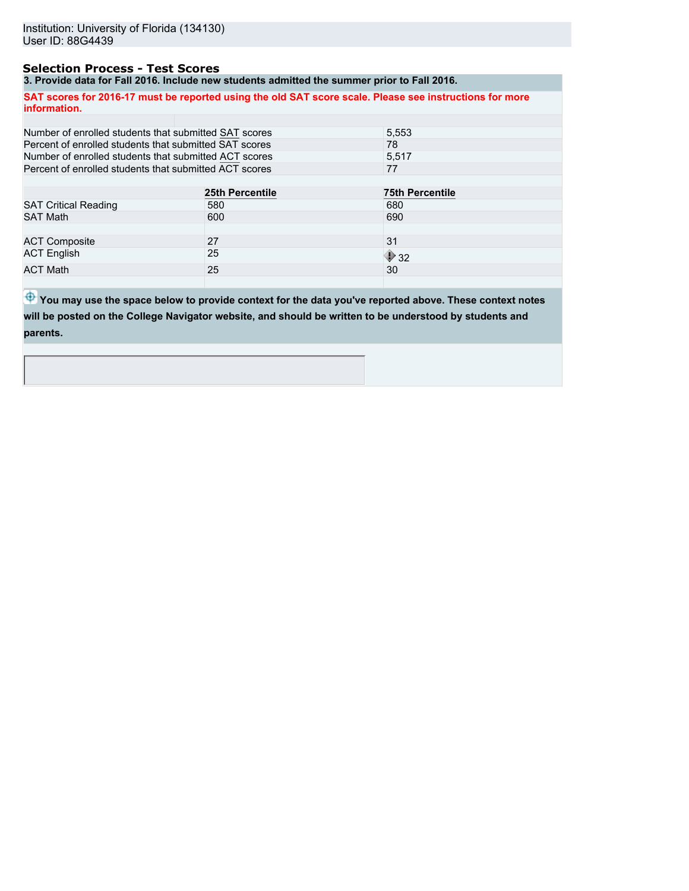## **Selection Process - Test Scores**

**3. Provide data for Fall 2016. Include new students admitted the summer prior to Fall 2016.**

|                                                        | 3. Frovide data for Fail 2010. McDude hew Students admitted the Summer prior to Fail 2010. |                                                                                                         |  |
|--------------------------------------------------------|--------------------------------------------------------------------------------------------|---------------------------------------------------------------------------------------------------------|--|
| information.                                           |                                                                                            | SAT scores for 2016-17 must be reported using the old SAT score scale. Please see instructions for more |  |
|                                                        |                                                                                            |                                                                                                         |  |
| Number of enrolled students that submitted SAT scores  |                                                                                            | 5,553                                                                                                   |  |
| Percent of enrolled students that submitted SAT scores |                                                                                            | 78                                                                                                      |  |
| Number of enrolled students that submitted ACT scores  |                                                                                            | 5.517                                                                                                   |  |
| Percent of enrolled students that submitted ACT scores |                                                                                            | 77                                                                                                      |  |
|                                                        |                                                                                            |                                                                                                         |  |
|                                                        | 25th Percentile                                                                            | <b>75th Percentile</b>                                                                                  |  |
| <b>SAT Critical Reading</b>                            | 580                                                                                        | 680                                                                                                     |  |
| <b>SAT Math</b>                                        | 600                                                                                        | 690                                                                                                     |  |
|                                                        |                                                                                            |                                                                                                         |  |
| <b>ACT Composite</b>                                   | 27                                                                                         | 31                                                                                                      |  |
| <b>ACT English</b>                                     | 25                                                                                         | $\bigcirc$ 32                                                                                           |  |
| <b>ACT Math</b>                                        | 25                                                                                         | 30                                                                                                      |  |

 $\bigoplus$  **You may use the space below to provide context for the data you've reported above. These context notes will be posted on the College Navigator website, and should be written to be understood by students and parents.**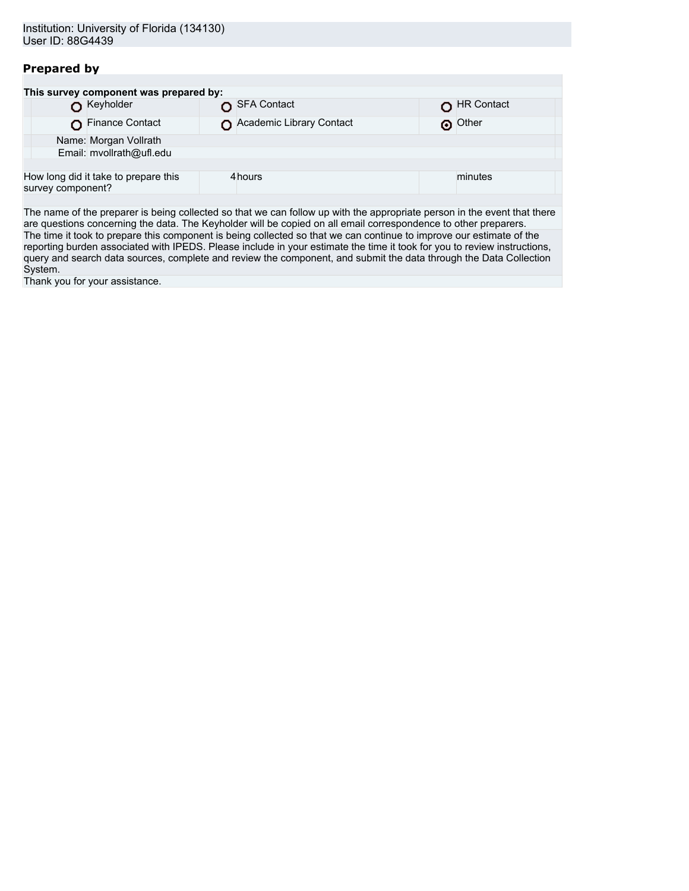# **Prepared by**

| This survey component was prepared by:                    |                          |            |
|-----------------------------------------------------------|--------------------------|------------|
| Keyholder                                                 | SFA Contact              | HR Contact |
| Finance Contact                                           | Academic Library Contact | O Other    |
| Name: Morgan Vollrath                                     |                          |            |
| Email: mvollrath@ufl.edu                                  |                          |            |
|                                                           |                          |            |
| How long did it take to prepare this<br>survey component? | 4hours                   | minutes    |
|                                                           |                          |            |

The name of the preparer is being collected so that we can follow up with the appropriate person in the event that there are questions concerning the data. The Keyholder will be copied on all email correspondence to other preparers. The time it took to prepare this component is being collected so that we can continue to improve our estimate of the reporting burden associated with IPEDS. Please include in your estimate the time it took for you to review instructions, query and search data sources, complete and review the component, and submit the data through the Data Collection System.

Thank you for your assistance.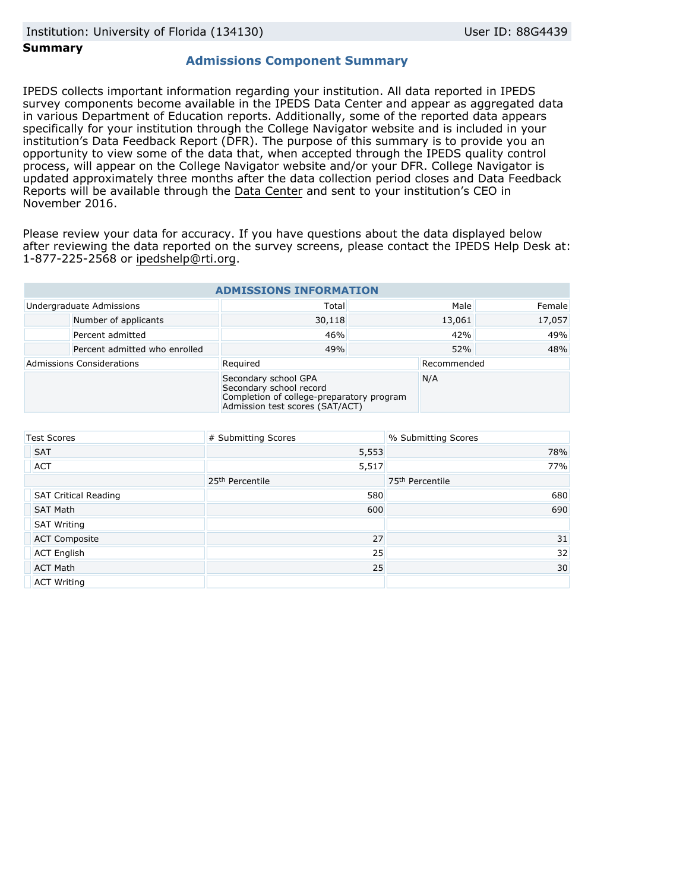### **Summary**

# **Admissions Component Summary**

IPEDS collects important information regarding your institution. All data reported in IPEDS survey components become available in the IPEDS Data Center and appear as aggregated data in various Department of Education reports. Additionally, some of the reported data appears specifically for your institution through the College Navigator website and is included in your institution's Data Feedback Report (DFR). The purpose of this summary is to provide you an opportunity to view some of the data that, when accepted through the IPEDS quality control process, will appear on the College Navigator website and/or your DFR. College Navigator is updated approximately three months after the data collection period closes and Data Feedback Reports will be available through the [Data Center](http://nces.ed.gov/ipeds/datacenter/) and sent to your institution's CEO in November 2016.

Please review your data for accuracy. If you have questions about the data displayed below after reviewing the data reported on the survey screens, please contact the IPEDS Help Desk at: 1-877-225-2568 or ipedshelp@rti.org.

| <b>ADMISSIONS INFORMATION</b>    |                               |                                                                                                                                 |        |             |        |
|----------------------------------|-------------------------------|---------------------------------------------------------------------------------------------------------------------------------|--------|-------------|--------|
|                                  | Undergraduate Admissions      | Total                                                                                                                           |        | Male        | Female |
|                                  | Number of applicants          | 30,118                                                                                                                          | 13,061 |             | 17,057 |
|                                  | Percent admitted              | 46%                                                                                                                             | 42%    |             | 49%    |
|                                  | Percent admitted who enrolled | 49%                                                                                                                             | 52%    |             | 48%    |
| <b>Admissions Considerations</b> |                               | Required                                                                                                                        |        | Recommended |        |
|                                  |                               | Secondary school GPA<br>Secondary school record<br>Completion of college-preparatory program<br>Admission test scores (SAT/ACT) |        | N/A         |        |

| <b>Test Scores</b>          | # Submitting Scores         | % Submitting Scores         |
|-----------------------------|-----------------------------|-----------------------------|
| <b>SAT</b>                  | 5,553                       | 78%                         |
| <b>ACT</b>                  | 5,517                       | 77%                         |
|                             | 25 <sup>th</sup> Percentile | 75 <sup>th</sup> Percentile |
| <b>SAT Critical Reading</b> | 580                         | 680                         |
| <b>SAT Math</b>             | 600                         | 690                         |
| <b>SAT Writing</b>          |                             |                             |
| <b>ACT Composite</b>        | 27                          | 31                          |
| <b>ACT English</b>          | 25                          | 32                          |
| <b>ACT Math</b>             | 25                          | 30                          |
| <b>ACT Writing</b>          |                             |                             |